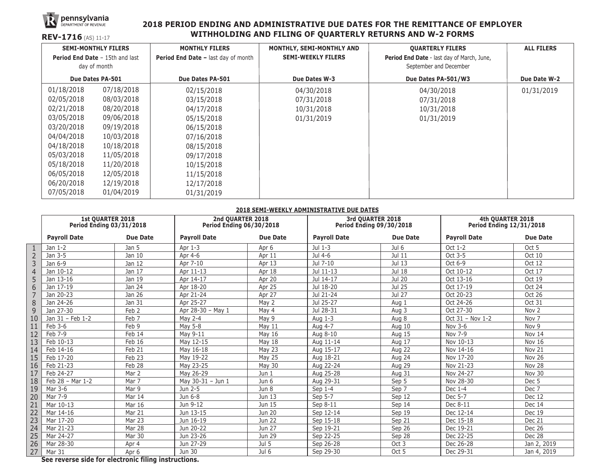

#### **2018 PERIOD ENDING AND ADMINISTRATIVE DUE DATES FOR THE REMITTANCE OF EMPLOYER WITHHOLDING AND FILING OF QUARTERLY RETURNS AND W-2 FORMS**

| REV-1716 (AS) 11-17                                                                  |            | WITHHOLDING AND FILING OF QUARTERLY RETURNS AND W-2 FORMS |                                                        |                                                                      |                   |  |  |  |  |
|--------------------------------------------------------------------------------------|------------|-----------------------------------------------------------|--------------------------------------------------------|----------------------------------------------------------------------|-------------------|--|--|--|--|
| <b>SEMI-MONTHLY FILERS</b><br><b>Period End Date - 15th and last</b><br>day of month |            | <b>MONTHLY FILERS</b>                                     | MONTHLY, SEMI-MONTHLY AND<br><b>SEMI-WEEKLY FILERS</b> | <b>QUARTERLY FILERS</b>                                              | <b>ALL FILERS</b> |  |  |  |  |
|                                                                                      |            | <b>Period End Date - last day of month</b>                |                                                        | Period End Date - last day of March, June,<br>September and December |                   |  |  |  |  |
| Due Dates PA-501                                                                     |            | Due Dates PA-501                                          | Due Dates W-3                                          | Due Dates PA-501/W3                                                  | Due Date W-2      |  |  |  |  |
| 01/18/2018                                                                           | 07/18/2018 | 02/15/2018                                                | 04/30/2018                                             | 04/30/2018                                                           | 01/31/2019        |  |  |  |  |
| 02/05/2018                                                                           | 08/03/2018 | 03/15/2018                                                | 07/31/2018                                             | 07/31/2018                                                           |                   |  |  |  |  |
| 02/21/2018                                                                           | 08/20/2018 | 04/17/2018                                                | 10/31/2018                                             | 10/31/2018                                                           |                   |  |  |  |  |
| 03/05/2018                                                                           | 09/06/2018 | 05/15/2018                                                | 01/31/2019                                             | 01/31/2019                                                           |                   |  |  |  |  |
| 03/20/2018                                                                           | 09/19/2018 | 06/15/2018                                                |                                                        |                                                                      |                   |  |  |  |  |
| 04/04/2018                                                                           | 10/03/2018 | 07/16/2018                                                |                                                        |                                                                      |                   |  |  |  |  |
| 04/18/2018                                                                           | 10/18/2018 | 08/15/2018                                                |                                                        |                                                                      |                   |  |  |  |  |
| 05/03/2018                                                                           | 11/05/2018 | 09/17/2018                                                |                                                        |                                                                      |                   |  |  |  |  |
| 05/18/2018                                                                           | 11/20/2018 | 10/15/2018                                                |                                                        |                                                                      |                   |  |  |  |  |
| 06/05/2018                                                                           | 12/05/2018 | 11/15/2018                                                |                                                        |                                                                      |                   |  |  |  |  |
| 06/20/2018                                                                           | 12/19/2018 | 12/17/2018                                                |                                                        |                                                                      |                   |  |  |  |  |
| 07/05/2018                                                                           | 01/04/2019 | 01/31/2019                                                |                                                        |                                                                      |                   |  |  |  |  |

#### **2018 SEMI-WEEKLY ADMINISTRATIVE DUE DATES**

|                | <b>1st QUARTER 2018</b><br><b>Period Ending 03/31/2018</b> |                  | 2nd QUARTER 2018<br><b>Period Ending 06/30/2018</b> |               | 3rd QUARTER 2018<br><b>Period Ending 09/30/2018</b> |          | 4th QUARTER 2018<br><b>Period Ending 12/31/2018</b> |                  |
|----------------|------------------------------------------------------------|------------------|-----------------------------------------------------|---------------|-----------------------------------------------------|----------|-----------------------------------------------------|------------------|
|                | <b>Payroll Date</b>                                        | <b>Due Date</b>  | <b>Payroll Date</b>                                 | Due Date      | <b>Payroll Date</b>                                 | Due Date | <b>Payroll Date</b>                                 | <b>Due Date</b>  |
|                | Jan 1-2                                                    | Jan 5            | Apr 1-3                                             | Apr 6         | Jul 1-3                                             | Jul 6    | Oct 1-2                                             | Oct 5            |
| $\overline{2}$ | Jan 3-5                                                    | Jan 10           | Apr 4-6                                             | Apr 11        | Jul 4-6                                             | Jul 11   | Oct 3-5                                             | Oct 10           |
| $\overline{3}$ | Jan 6-9                                                    | Jan 12           | Apr 7-10                                            | Apr 13        | Jul 7-10                                            | Jul 13   | Oct 6-9                                             | Oct 12           |
| $\overline{4}$ | Jan 10-12                                                  | Jan 17           | Apr 11-13                                           | Apr 18        | Jul 11-13                                           | Jul 18   | Oct 10-12                                           | Oct 17           |
| 5              | Jan 13-16                                                  | Jan 19           | Apr 14-17                                           | Apr 20        | Jul 14-17                                           | Jul 20   | Oct 13-16                                           | Oct 19           |
| 6              | Jan 17-19                                                  | Jan 24           | Apr 18-20                                           | Apr 25        | Jul 18-20                                           | Jul 25   | Oct 17-19                                           | <b>Oct 24</b>    |
|                | Jan 20-23                                                  | Jan 26           | Apr 21-24                                           | Apr 27        | Jul 21-24                                           | Jul 27   | Oct 20-23                                           | Oct 26           |
| 8              | Jan 24-26                                                  | Jan 31           | Apr 25-27                                           | May 2         | Jul 25-27                                           | Aug 1    | Oct 24-26                                           | Oct 31           |
| 9              | Jan 27-30                                                  | Feb <sub>2</sub> | Apr 28-30 - May 1                                   | May 4         | Jul 28-31                                           | Aug 3    | Oct 27-30                                           | Nov <sub>2</sub> |
| 10             | Jan 31 - Feb 1-2                                           | Feb 7            | May 2-4                                             | May 9         | Aug 1-3                                             | Aug 8    | Oct 31 - Nov 1-2                                    | Nov <sub>7</sub> |
| 11             | Feb 3-6                                                    | Feb 9            | May 5-8                                             | May 11        | Aug 4-7                                             | Aug 10   | Nov 3-6                                             | Nov 9            |
| 12             | Feb 7-9                                                    | Feb 14           | May 9-11                                            | May 16        | Aug 8-10                                            | Aug 15   | Nov 7-9                                             | Nov 14           |
| 13             | Feb 10-13                                                  | Feb 16           | May 12-15                                           | May 18        | Aug 11-14                                           | Aug 17   | Nov 10-13                                           | Nov 16           |
| 14             | Feb 14-16                                                  | Feb 21           | May 16-18                                           | May 23        | Aug 15-17                                           | Aug 22   | Nov 14-16                                           | Nov 21           |
| 15             | Feb 17-20                                                  | Feb 23           | May 19-22                                           | <b>May 25</b> | Aug 18-21                                           | Aug 24   | Nov 17-20                                           | <b>Nov 26</b>    |
| 16             | Feb 21-23                                                  | Feb 28           | May 23-25                                           | May 30        | Aug 22-24                                           | Aug 29   | Nov 21-23                                           | Nov 28           |
| 17             | Feb 24-27                                                  | Mar 2            | May 26-29                                           | Jun 1         | Aug 25-28                                           | Aug 31   | Nov 24-27                                           | Nov 30           |
| 18             | Feb 28 - Mar 1-2                                           | Mar 7            | May 30-31 - Jun 1                                   | Jun 6         | Aug 29-31                                           | Sep 5    | Nov 28-30                                           | Dec <sub>5</sub> |
| 19             | Mar 3-6                                                    | Mar 9            | Jun 2-5                                             | Jun 8         | Sep 1-4                                             | Sep 7    | Dec 1-4                                             | Dec 7            |
| 20             | Mar 7-9                                                    | Mar 14           | Jun 6-8                                             | Jun 13        | Sep 5-7                                             | Sep 12   | Dec 5-7                                             | Dec 12           |
| 21             | Mar 10-13                                                  | Mar 16           | Jun 9-12                                            | Jun 15        | Sep 8-11                                            | Sep 14   | Dec 8-11                                            | Dec 14           |
| 22             | Mar 14-16                                                  | Mar 21           | Jun 13-15                                           | Jun 20        | Sep 12-14                                           | Sep 19   | Dec 12-14                                           | Dec 19           |
| 23             | Mar 17-20                                                  | Mar 23           | Jun 16-19                                           | Jun 22        | Sep 15-18                                           | Sep 21   | Dec 15-18                                           | Dec 21           |
| 24             | Mar 21-23                                                  | Mar 28           | Jun 20-22                                           | Jun 27        | Sep 19-21                                           | Sep 26   | Dec 19-21                                           | <b>Dec 26</b>    |
| 25             | Mar 24-27                                                  | <b>Mar 30</b>    | Jun 23-26                                           | Jun 29        | Sep 22-25                                           | Sep 28   | Dec 22-25                                           | Dec 28           |
| 26             | Mar 28-30                                                  | Apr 4            | Jun 27-29                                           | Jul 5         | Sep 26-28                                           | Oct 3    | Dec 26-28                                           | Jan 2, 2019      |
| 27             | Mar 31                                                     | Apr 6            | Jun 30                                              | Jul 6         | Sep 29-30                                           | Oct 5    | Dec 29-31                                           | Jan 4, 2019      |

**See reverse side for electronic filing instructions.**